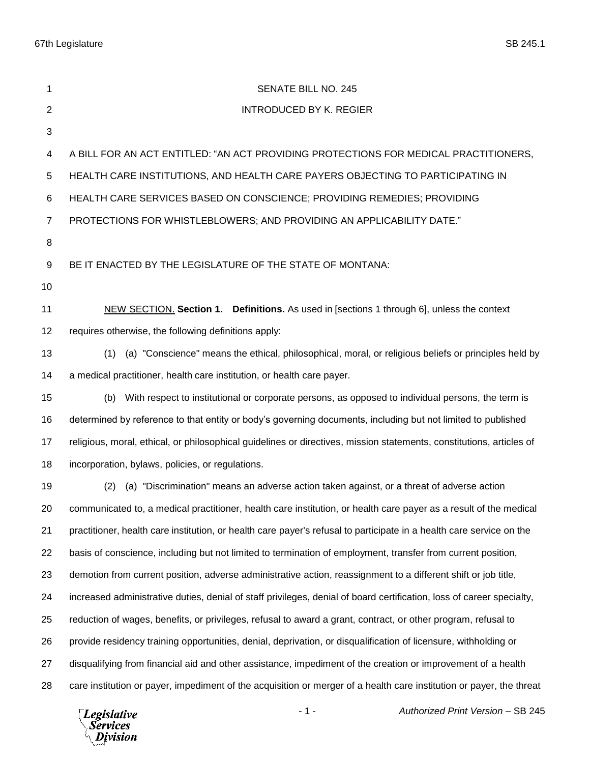67th Legislature SB 245.1

| 1              | SENATE BILL NO. 245                                                                                                   |
|----------------|-----------------------------------------------------------------------------------------------------------------------|
| 2              | <b>INTRODUCED BY K. REGIER</b>                                                                                        |
| 3              |                                                                                                                       |
| 4              | A BILL FOR AN ACT ENTITLED: "AN ACT PROVIDING PROTECTIONS FOR MEDICAL PRACTITIONERS,                                  |
| 5              | HEALTH CARE INSTITUTIONS, AND HEALTH CARE PAYERS OBJECTING TO PARTICIPATING IN                                        |
| 6              | HEALTH CARE SERVICES BASED ON CONSCIENCE; PROVIDING REMEDIES; PROVIDING                                               |
| $\overline{7}$ | PROTECTIONS FOR WHISTLEBLOWERS; AND PROVIDING AN APPLICABILITY DATE."                                                 |
| 8              |                                                                                                                       |
| 9              | BE IT ENACTED BY THE LEGISLATURE OF THE STATE OF MONTANA:                                                             |
| 10             |                                                                                                                       |
| 11             | NEW SECTION. Section 1. Definitions. As used in [sections 1 through 6], unless the context                            |
| 12             | requires otherwise, the following definitions apply:                                                                  |
| 13             | (a) "Conscience" means the ethical, philosophical, moral, or religious beliefs or principles held by<br>(1)           |
| 14             | a medical practitioner, health care institution, or health care payer.                                                |
| 15             | With respect to institutional or corporate persons, as opposed to individual persons, the term is<br>(b)              |
| 16             | determined by reference to that entity or body's governing documents, including but not limited to published          |
| 17             | religious, moral, ethical, or philosophical guidelines or directives, mission statements, constitutions, articles of  |
| 18             | incorporation, bylaws, policies, or regulations.                                                                      |
| 19             | (a) "Discrimination" means an adverse action taken against, or a threat of adverse action<br>(2)                      |
| 20             | communicated to, a medical practitioner, health care institution, or health care payer as a result of the medical     |
| 21             | practitioner, health care institution, or health care payer's refusal to participate in a health care service on the  |
| 22             | basis of conscience, including but not limited to termination of employment, transfer from current position,          |
| 23             | demotion from current position, adverse administrative action, reassignment to a different shift or job title,        |
| 24             | increased administrative duties, denial of staff privileges, denial of board certification, loss of career specialty, |
| 25             | reduction of wages, benefits, or privileges, refusal to award a grant, contract, or other program, refusal to         |
| 26             | provide residency training opportunities, denial, deprivation, or disqualification of licensure, withholding or       |
| 27             | disqualifying from financial aid and other assistance, impediment of the creation or improvement of a health          |
| 28             | care institution or payer, impediment of the acquisition or merger of a health care institution or payer, the threat  |

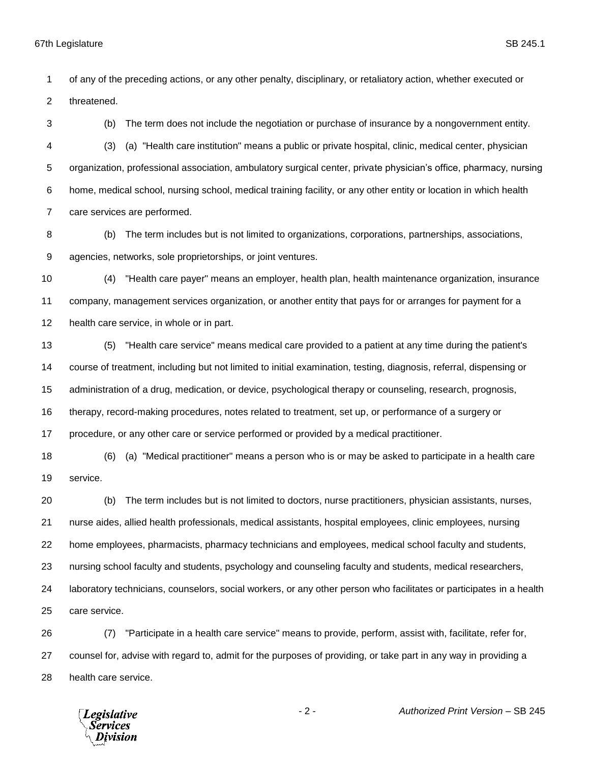of any of the preceding actions, or any other penalty, disciplinary, or retaliatory action, whether executed or threatened.

 (b) The term does not include the negotiation or purchase of insurance by a nongovernment entity. (3) (a) "Health care institution" means a public or private hospital, clinic, medical center, physician organization, professional association, ambulatory surgical center, private physician's office, pharmacy, nursing home, medical school, nursing school, medical training facility, or any other entity or location in which health care services are performed.

 (b) The term includes but is not limited to organizations, corporations, partnerships, associations, agencies, networks, sole proprietorships, or joint ventures.

 (4) "Health care payer" means an employer, health plan, health maintenance organization, insurance company, management services organization, or another entity that pays for or arranges for payment for a health care service, in whole or in part.

 (5) "Health care service" means medical care provided to a patient at any time during the patient's course of treatment, including but not limited to initial examination, testing, diagnosis, referral, dispensing or administration of a drug, medication, or device, psychological therapy or counseling, research, prognosis, therapy, record-making procedures, notes related to treatment, set up, or performance of a surgery or procedure, or any other care or service performed or provided by a medical practitioner.

 (6) (a) "Medical practitioner" means a person who is or may be asked to participate in a health care service.

 (b) The term includes but is not limited to doctors, nurse practitioners, physician assistants, nurses, nurse aides, allied health professionals, medical assistants, hospital employees, clinic employees, nursing home employees, pharmacists, pharmacy technicians and employees, medical school faculty and students, nursing school faculty and students, psychology and counseling faculty and students, medical researchers, laboratory technicians, counselors, social workers, or any other person who facilitates or participates in a health care service.

 (7) "Participate in a health care service" means to provide, perform, assist with, facilitate, refer for, counsel for, advise with regard to, admit for the purposes of providing, or take part in any way in providing a health care service.

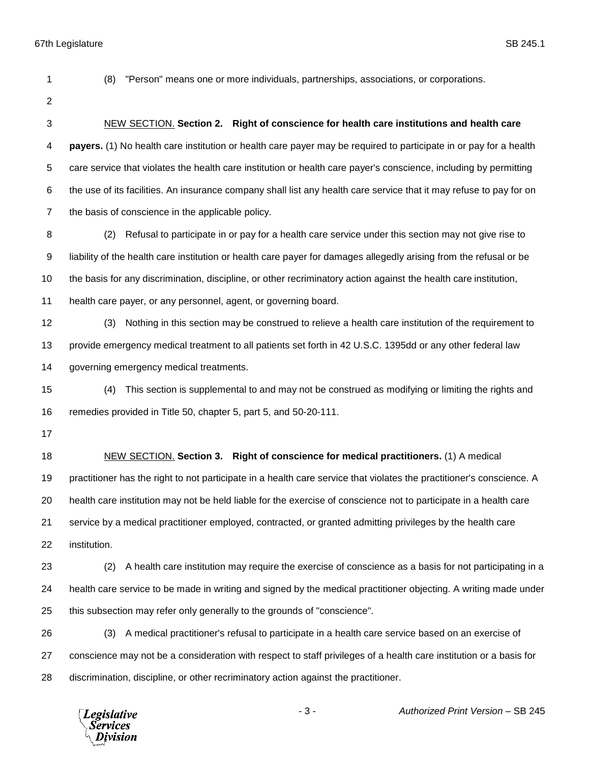(8) "Person" means one or more individuals, partnerships, associations, or corporations.

 NEW SECTION. **Section 2. Right of conscience for health care institutions and health care payers.** (1) No health care institution or health care payer may be required to participate in or pay for a health care service that violates the health care institution or health care payer's conscience, including by permitting the use of its facilities. An insurance company shall list any health care service that it may refuse to pay for on the basis of conscience in the applicable policy.

 (2) Refusal to participate in or pay for a health care service under this section may not give rise to liability of the health care institution or health care payer for damages allegedly arising from the refusal or be the basis for any discrimination, discipline, or other recriminatory action against the health care institution, health care payer, or any personnel, agent, or governing board.

 (3) Nothing in this section may be construed to relieve a health care institution of the requirement to provide emergency medical treatment to all patients set forth in 42 U.S.C. 1395dd or any other federal law governing emergency medical treatments.

 (4) This section is supplemental to and may not be construed as modifying or limiting the rights and remedies provided in Title 50, chapter 5, part 5, and 50-20-111.

 NEW SECTION. **Section 3. Right of conscience for medical practitioners.** (1) A medical practitioner has the right to not participate in a health care service that violates the practitioner's conscience. A health care institution may not be held liable for the exercise of conscience not to participate in a health care service by a medical practitioner employed, contracted, or granted admitting privileges by the health care institution.

 (2) A health care institution may require the exercise of conscience as a basis for not participating in a health care service to be made in writing and signed by the medical practitioner objecting. A writing made under this subsection may refer only generally to the grounds of "conscience".

 (3) A medical practitioner's refusal to participate in a health care service based on an exercise of conscience may not be a consideration with respect to staff privileges of a health care institution or a basis for discrimination, discipline, or other recriminatory action against the practitioner.

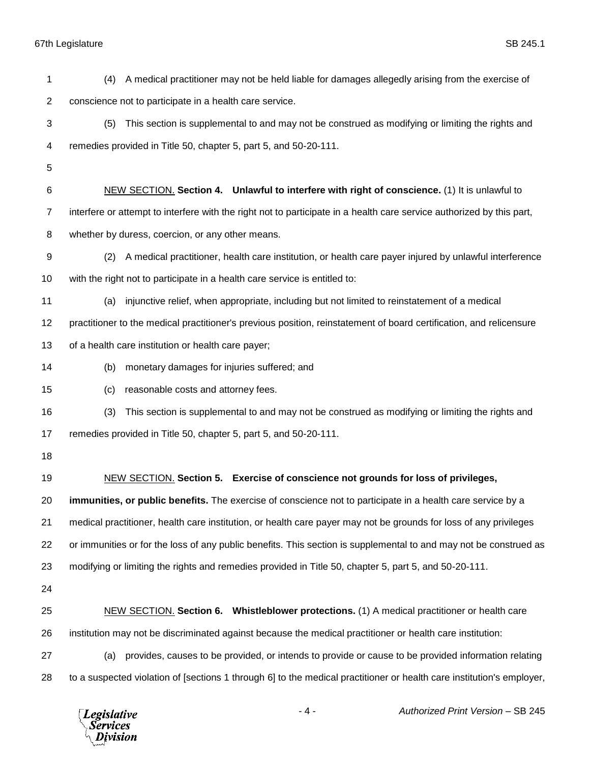67th Legislature SB 245.1

| 1              | A medical practitioner may not be held liable for damages allegedly arising from the exercise of<br>(4)               |
|----------------|-----------------------------------------------------------------------------------------------------------------------|
| $\overline{2}$ | conscience not to participate in a health care service.                                                               |
| 3              | This section is supplemental to and may not be construed as modifying or limiting the rights and<br>(5)               |
| 4              | remedies provided in Title 50, chapter 5, part 5, and 50-20-111.                                                      |
| 5              |                                                                                                                       |
| 6              | NEW SECTION. Section 4. Unlawful to interfere with right of conscience. (1) It is unlawful to                         |
| $\overline{7}$ | interfere or attempt to interfere with the right not to participate in a health care service authorized by this part, |
| 8              | whether by duress, coercion, or any other means.                                                                      |
| 9              | A medical practitioner, health care institution, or health care payer injured by unlawful interference<br>(2)         |
| 10             | with the right not to participate in a health care service is entitled to:                                            |
| 11             | injunctive relief, when appropriate, including but not limited to reinstatement of a medical<br>(a)                   |
| 12             | practitioner to the medical practitioner's previous position, reinstatement of board certification, and relicensure   |
| 13             | of a health care institution or health care payer;                                                                    |
| 14             | monetary damages for injuries suffered; and<br>(b)                                                                    |
| 15             | reasonable costs and attorney fees.<br>(c)                                                                            |
| 16             | (3)<br>This section is supplemental to and may not be construed as modifying or limiting the rights and               |
| 17             | remedies provided in Title 50, chapter 5, part 5, and 50-20-111.                                                      |
| 18             |                                                                                                                       |
| 19             | NEW SECTION. Section 5. Exercise of conscience not grounds for loss of privileges,                                    |
| 20             | immunities, or public benefits. The exercise of conscience not to participate in a health care service by a           |
| 21             | medical practitioner, health care institution, or health care payer may not be grounds for loss of any privileges     |
| 22             | or immunities or for the loss of any public benefits. This section is supplemental to and may not be construed as     |
| 23             | modifying or limiting the rights and remedies provided in Title 50, chapter 5, part 5, and 50-20-111.                 |
| 24             |                                                                                                                       |
| 25             | NEW SECTION. Section 6. Whistleblower protections. (1) A medical practitioner or health care                          |
| 26             | institution may not be discriminated against because the medical practitioner or health care institution:             |
| 27             | provides, causes to be provided, or intends to provide or cause to be provided information relating<br>(a)            |
| 28             | to a suspected violation of [sections 1 through 6] to the medical practitioner or health care institution's employer, |
|                |                                                                                                                       |